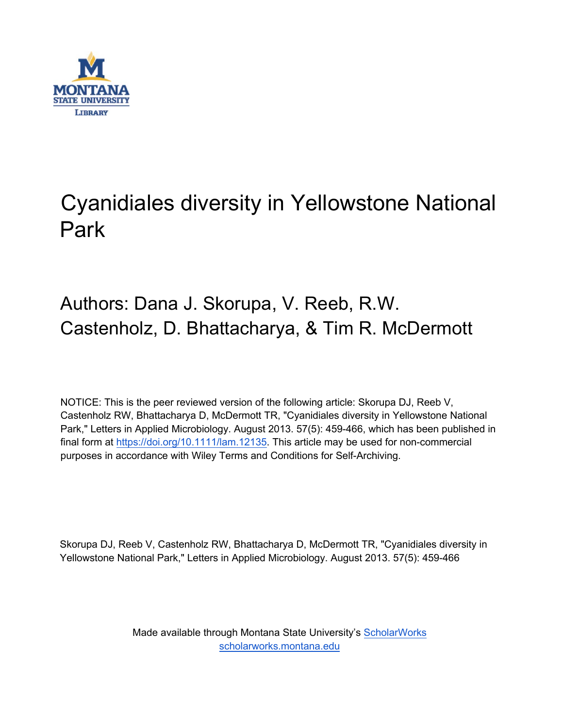

# Cyanidiales diversity in Yellowstone National Park

## Authors: Dana J. Skorupa, V. Reeb, R.W. Castenholz, D. Bhattacharya, & Tim R. McDermott

NOTICE: This is the peer reviewed version of the following article: Skorupa DJ, Reeb V, Castenholz RW, Bhattacharya D, McDermott TR, "Cyanidiales diversity in Yellowstone National Park," Letters in Applied Microbiology. August 2013. 57(5): 459-466, which has been published in final form at [https://doi.org/10.1111/lam.12135.](https://doi.org/10.1111/lam.12135) This article may be used for non-commercial purposes in accordance with Wiley Terms and Conditions for Self-Archiving.

Skorupa DJ, Reeb V, Castenholz RW, Bhattacharya D, McDermott TR, "Cyanidiales diversity in Yellowstone National Park," Letters in Applied Microbiology. August 2013. 57(5): 459-466

> Made available through Montana State University's [ScholarWorks](http://scholarworks.montana.edu/) [scholarworks.montana.edu](http://scholarworks.montana.edu/)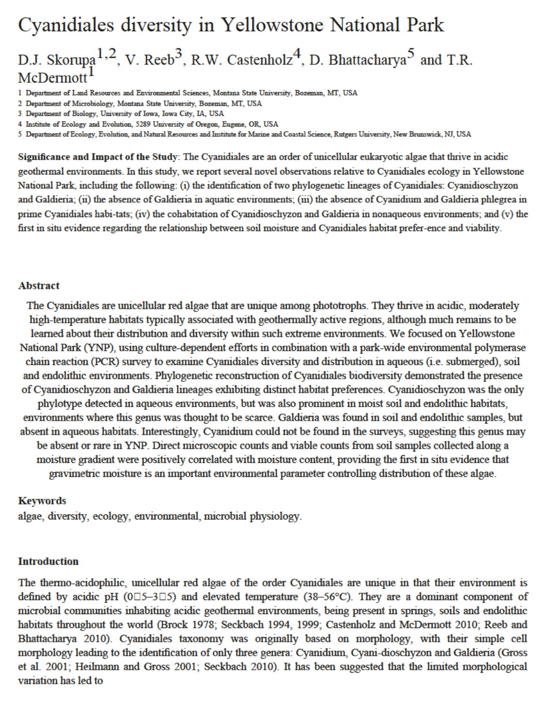## Cyanidiales diversity in Yellowstone National Park

## D.J. Skorupa<sup>1,2</sup>, V. Reeb<sup>3</sup>, R.W. Castenholz<sup>4</sup>, D. Bhattacharya<sup>5</sup> and T.R. McDermott<sup>1</sup>

1 Department of Land Resources and Environmental Sciences, Montana State University, Bozeman, MT, USA

2 Department of Microbiology, Montana State University, Bozeman, MT, USA

3 Department of Biology, University of Iowa, Iowa City, IA, USA

4 Institute of Ecology and Evolution, 5289 University of Oregon, Eugene, OR, USA

5 Department of Ecology, Evolution, and Natural Resources and Institute for Marine and Coastal Science, Rutgers University, New Brunswick, NJ, USA

Significance and Impact of the Study: The Cyanidiales are an order of unicellular eukaryotic algae that thrive in acidic geothermal environments. In this study, we report several novel observations relative to Cyanidiales ecology in Yellowstone National Park, including the following: (i) the identification of two phylogenetic lineages of Cyanidiales: Cyanidioschyzon and Galdieria; (ii) the absence of Galdieria in aquatic environments; (iii) the absence of Cyanidium and Galdieria phlegrea in prime Cyanidiales habi-tats; (iv) the cohabitation of Cyanidioschyzon and Galdieria in nonaqueous environments; and (v) the first in situ evidence regarding the relationship between soil moisture and Cyanidiales habitat prefer-ence and viability.

#### Abstract

The Cyanidiales are unicellular red algae that are unique among phototrophs. They thrive in acidic, moderately high-temperature habitats typically associated with geothermally active regions, although much remains to be learned about their distribution and diversity within such extreme environments. We focused on Yellowstone National Park (YNP), using culture-dependent efforts in combination with a park-wide environmental polymerase chain reaction (PCR) survey to examine Cyanidiales diversity and distribution in aqueous (i.e. submerged), soil and endolithic environments. Phylogenetic reconstruction of Cyanidiales biodiversity demonstrated the presence of Cyanidioschyzon and Galdieria lineages exhibiting distinct habitat preferences. Cyanidioschyzon was the only phylotype detected in aqueous environments, but was also prominent in moist soil and endolithic habitats, environments where this genus was thought to be scarce. Galdieria was found in soil and endolithic samples, but absent in aqueous habitats. Interestingly, Cyanidium could not be found in the surveys, suggesting this genus may be absent or rare in YNP. Direct microscopic counts and viable counts from soil samples collected along a moisture gradient were positively correlated with moisture content, providing the first in situ evidence that gravimetric moisture is an important environmental parameter controlling distribution of these algae.

#### Keywords

algae, diversity, ecology, environmental, microbial physiology.

#### Introduction

The thermo-acidophilic, unicellular red algae of the order Cyanidiales are unique in that their environment is defined by acidic pH ( $0\square$ 5-3 $\square$ 5) and elevated temperature (38-56°C). They are a dominant component of microbial communities inhabiting acidic geothermal environments, being present in springs, soils and endolithic habitats throughout the world (Brock 1978; Seckbach 1994, 1999; Castenholz and McDermott 2010; Reeb and Bhattacharya 2010). Cyanidiales taxonomy was originally based on morphology, with their simple cell morphology leading to the identification of only three genera: Cyanidium, Cyani-dioschyzon and Galdieria (Gross et al. 2001; Heilmann and Gross 2001; Seckbach 2010). It has been suggested that the limited morphological variation has led to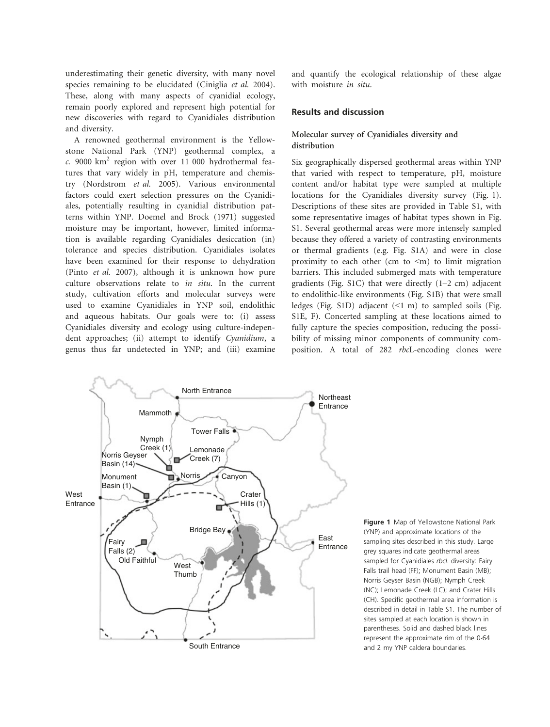underestimating their genetic diversity, with many novel species remaining to be elucidated (Ciniglia et al. 2004). These, along with many aspects of cyanidial ecology, remain poorly explored and represent high potential for new discoveries with regard to Cyanidiales distribution and diversity.

A renowned geothermal environment is the Yellowstone National Park (YNP) geothermal complex, a  $c.$  9000 km<sup>2</sup> region with over 11 000 hydrothermal features that vary widely in pH, temperature and chemistry (Nordstrom et al. 2005). Various environmental factors could exert selection pressures on the Cyanidiales, potentially resulting in cyanidial distribution patterns within YNP. Doemel and Brock (1971) suggested moisture may be important, however, limited information is available regarding Cyanidiales desiccation (in) tolerance and species distribution. Cyanidiales isolates have been examined for their response to dehydration (Pinto et al. 2007), although it is unknown how pure culture observations relate to in situ. In the current study, cultivation efforts and molecular surveys were used to examine Cyanidiales in YNP soil, endolithic and aqueous habitats. Our goals were to: (i) assess Cyanidiales diversity and ecology using culture-independent approaches; (ii) attempt to identify Cyanidium, a genus thus far undetected in YNP; and (iii) examine

and quantify the ecological relationship of these algae with moisture in situ.

#### Results and discussion

#### Molecular survey of Cyanidiales diversity and distribution

Six geographically dispersed geothermal areas within YNP that varied with respect to temperature, pH, moisture content and/or habitat type were sampled at multiple locations for the Cyanidiales diversity survey (Fig. 1). Descriptions of these sites are provided in Table S1, with some representative images of habitat types shown in Fig. S1. Several geothermal areas were more intensely sampled because they offered a variety of contrasting environments or thermal gradients (e.g. Fig. S1A) and were in close proximity to each other (cm to  $\leq m$ ) to limit migration barriers. This included submerged mats with temperature gradients (Fig. S1C) that were directly (1–2 cm) adjacent to endolithic-like environments (Fig. S1B) that were small ledges (Fig. S1D) adjacent  $($  1 m) to sampled soils (Fig. S1E, F). Concerted sampling at these locations aimed to fully capture the species composition, reducing the possibility of missing minor components of community composition. A total of 282 rbcL-encoding clones were



Figure 1 Map of Yellowstone National Park (YNP) and approximate locations of the sampling sites described in this study. Large grey squares indicate geothermal areas sampled for Cyanidiales rbcL diversity: Fairy Falls trail head (FF); Monument Basin (MB); Norris Geyser Basin (NGB); Nymph Creek (NC); Lemonade Creek (LC); and Crater Hills (CH). Specific geothermal area information is described in detail in Table S1. The number of sites sampled at each location is shown in parentheses. Solid and dashed black lines represent the approximate rim of the 0.64 and 2 my YNP caldera boundaries.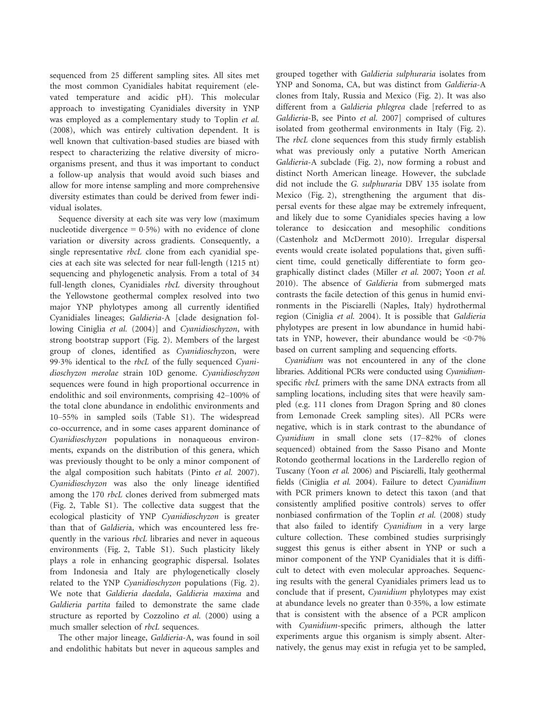sequenced from 25 different sampling sites. All sites met the most common Cyanidiales habitat requirement (elevated temperature and acidic pH). This molecular approach to investigating Cyanidiales diversity in YNP was employed as a complementary study to Toplin et al. (2008), which was entirely cultivation dependent. It is well known that cultivation-based studies are biased with respect to characterizing the relative diversity of microorganisms present, and thus it was important to conduct a follow-up analysis that would avoid such biases and allow for more intense sampling and more comprehensive diversity estimates than could be derived from fewer individual isolates.

Sequence diversity at each site was very low (maximum nucleotide divergence  $= 0.5\%$ ) with no evidence of clone variation or diversity across gradients. Consequently, a single representative rbcL clone from each cyanidial species at each site was selected for near full-length (1215 nt) sequencing and phylogenetic analysis. From a total of 34 full-length clones, Cyanidiales rbcL diversity throughout the Yellowstone geothermal complex resolved into two major YNP phylotypes among all currently identified Cyanidiales lineages; Galdieria-A [clade designation following Ciniglia et al. (2004)] and Cyanidioschyzon, with strong bootstrap support (Fig. 2). Members of the largest group of clones, identified as Cyanidioschyzon, were 993% identical to the rbcL of the fully sequenced Cyanidioschyzon merolae strain 10D genome. Cyanidioschyzon sequences were found in high proportional occurrence in endolithic and soil environments, comprising 42–100% of the total clone abundance in endolithic environments and 10–55% in sampled soils (Table S1). The widespread co-occurrence, and in some cases apparent dominance of Cyanidioschyzon populations in nonaqueous environments, expands on the distribution of this genera, which was previously thought to be only a minor component of the algal composition such habitats (Pinto et al. 2007). Cyanidioschyzon was also the only lineage identified among the 170 rbcL clones derived from submerged mats (Fig. 2, Table S1). The collective data suggest that the ecological plasticity of YNP Cyanidioschyzon is greater than that of Galdieria, which was encountered less frequently in the various *rbcL* libraries and never in aqueous environments (Fig. 2, Table S1). Such plasticity likely plays a role in enhancing geographic dispersal. Isolates from Indonesia and Italy are phylogenetically closely related to the YNP Cyanidioschyzon populations (Fig. 2). We note that Galdieria daedala, Galdieria maxima and Galdieria partita failed to demonstrate the same clade structure as reported by Cozzolino et al. (2000) using a much smaller selection of rbcL sequences.

The other major lineage, Galdieria-A, was found in soil and endolithic habitats but never in aqueous samples and

grouped together with Galdieria sulphuraria isolates from YNP and Sonoma, CA, but was distinct from Galdieria-A clones from Italy, Russia and Mexico (Fig. 2). It was also different from a Galdieria phlegrea clade [referred to as Galdieria-B, see Pinto et al. 2007] comprised of cultures isolated from geothermal environments in Italy (Fig. 2). The *rbcL* clone sequences from this study firmly establish what was previously only a putative North American Galdieria-A subclade (Fig. 2), now forming a robust and distinct North American lineage. However, the subclade did not include the G. sulphuraria DBV 135 isolate from Mexico (Fig. 2), strengthening the argument that dispersal events for these algae may be extremely infrequent, and likely due to some Cyanidiales species having a low tolerance to desiccation and mesophilic conditions (Castenholz and McDermott 2010). Irregular dispersal events would create isolated populations that, given sufficient time, could genetically differentiate to form geographically distinct clades (Miller et al. 2007; Yoon et al. 2010). The absence of Galdieria from submerged mats contrasts the facile detection of this genus in humid environments in the Pisciarelli (Naples, Italy) hydrothermal region (Ciniglia et al. 2004). It is possible that Galdieria phylotypes are present in low abundance in humid habitats in YNP, however, their abundance would be  $\leq 0.7\%$ based on current sampling and sequencing efforts.

Cyanidium was not encountered in any of the clone libraries. Additional PCRs were conducted using Cyanidiumspecific rbcL primers with the same DNA extracts from all sampling locations, including sites that were heavily sampled (e.g. 111 clones from Dragon Spring and 80 clones from Lemonade Creek sampling sites). All PCRs were negative, which is in stark contrast to the abundance of Cyanidium in small clone sets (17–82% of clones sequenced) obtained from the Sasso Pisano and Monte Rotondo geothermal locations in the Larderello region of Tuscany (Yoon et al. 2006) and Pisciarelli, Italy geothermal fields (Ciniglia et al. 2004). Failure to detect Cyanidium with PCR primers known to detect this taxon (and that consistently amplified positive controls) serves to offer nonbiased confirmation of the Toplin et al. (2008) study that also failed to identify Cyanidium in a very large culture collection. These combined studies surprisingly suggest this genus is either absent in YNP or such a minor component of the YNP Cyanidiales that it is difficult to detect with even molecular approaches. Sequencing results with the general Cyanidiales primers lead us to conclude that if present, Cyanidium phylotypes may exist at abundance levels no greater than  $0.35\%$ , a low estimate that is consistent with the absence of a PCR amplicon with Cyanidium-specific primers, although the latter experiments argue this organism is simply absent. Alternatively, the genus may exist in refugia yet to be sampled,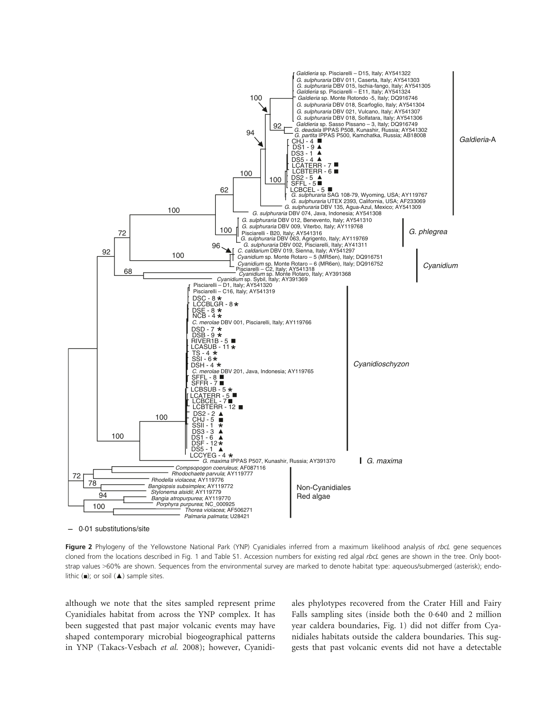

0·01 substitutions/site

Figure 2 Phylogeny of the Yellowstone National Park (YNP) Cyanidiales inferred from a maximum likelihood analysis of rbcL gene sequences cloned from the locations described in Fig. 1 and Table S1. Accession numbers for existing red algal rbcL genes are shown in the tree. Only bootstrap values >60% are shown. Sequences from the environmental survey are marked to denote habitat type: aqueous/submerged (asterisk); endolithic  $(\blacksquare)$ ; or soil  $(\blacktriangle)$  sample sites.

although we note that the sites sampled represent prime Cyanidiales habitat from across the YNP complex. It has been suggested that past major volcanic events may have shaped contemporary microbial biogeographical patterns in YNP (Takacs-Vesbach et al. 2008); however, Cyanidiales phylotypes recovered from the Crater Hill and Fairy Falls sampling sites (inside both the 0.640 and 2 million year caldera boundaries, Fig. 1) did not differ from Cyanidiales habitats outside the caldera boundaries. This suggests that past volcanic events did not have a detectable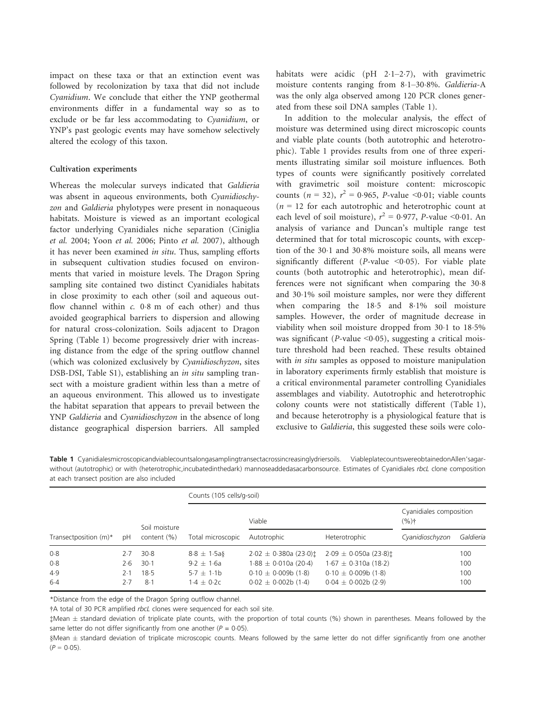impact on these taxa or that an extinction event was followed by recolonization by taxa that did not include Cyanidium. We conclude that either the YNP geothermal environments differ in a fundamental way so as to exclude or be far less accommodating to Cyanidium, or YNP's past geologic events may have somehow selectively altered the ecology of this taxon.

#### Cultivation experiments

Whereas the molecular surveys indicated that Galdieria was absent in aqueous environments, both Cyanidioschyzon and Galdieria phylotypes were present in nonaqueous habitats. Moisture is viewed as an important ecological factor underlying Cyanidiales niche separation (Ciniglia et al. 2004; Yoon et al. 2006; Pinto et al. 2007), although it has never been examined in situ. Thus, sampling efforts in subsequent cultivation studies focused on environments that varied in moisture levels. The Dragon Spring sampling site contained two distinct Cyanidiales habitats in close proximity to each other (soil and aqueous outflow channel within  $c$ . 0.8 m of each other) and thus avoided geographical barriers to dispersion and allowing for natural cross-colonization. Soils adjacent to Dragon Spring (Table 1) become progressively drier with increasing distance from the edge of the spring outflow channel (which was colonized exclusively by Cyanidioschyzon, sites DSB-DSI, Table S1), establishing an in situ sampling transect with a moisture gradient within less than a metre of an aqueous environment. This allowed us to investigate the habitat separation that appears to prevail between the YNP Galdieria and Cyanidioschyzon in the absence of long distance geographical dispersion barriers. All sampled

habitats were acidic (pH  $2.1-2.7$ ), with gravimetric moisture contents ranging from 81–308%. Galdieria-A was the only alga observed among 120 PCR clones generated from these soil DNA samples (Table 1).

In addition to the molecular analysis, the effect of moisture was determined using direct microscopic counts and viable plate counts (both autotrophic and heterotrophic). Table 1 provides results from one of three experiments illustrating similar soil moisture influences. Both types of counts were significantly positively correlated with gravimetric soil moisture content: microscopic counts ( $n = 32$ ),  $r^2 = 0.965$ , *P*-value <0.01; viable counts  $(n = 12)$  for each autotrophic and heterotrophic count at each level of soil moisture),  $r^2 = 0.977$ , *P*-value <0.01. An analysis of variance and Duncan's multiple range test determined that for total microscopic counts, with exception of the 30.1 and 30.8% moisture soils, all means were significantly different (P-value  $\leq 0.05$ ). For viable plate counts (both autotrophic and heterotrophic), mean differences were not significant when comparing the 30.8 and 301% soil moisture samples, nor were they different when comparing the 18.5 and 8.1% soil moisture samples. However, the order of magnitude decrease in viability when soil moisture dropped from 30.1 to 18.5% was significant ( $P$ -value <0.05), suggesting a critical moisture threshold had been reached. These results obtained with *in situ* samples as opposed to moisture manipulation in laboratory experiments firmly establish that moisture is a critical environmental parameter controlling Cyanidiales assemblages and viability. Autotrophic and heterotrophic colony counts were not statistically different (Table 1), and because heterotrophy is a physiological feature that is exclusive to Galdieria, this suggested these soils were colo-

Table 1 Cyanidialesmicroscopicandviablecountsalongasamplingtransectacrossincreasinglydriersoils. ViableplatecountswereobtainedonAllen'sagarwithout (autotrophic) or with (heterotrophic,incubatedinthedark) mannoseaddedasacarbonsource. Estimates of Cyanidiales rbcL clone composition at each transect position are also included

| Transectposition $(m)^*$ | рH    | Soil moisture<br>content (%) | Counts (105 cells/g-soil) |                                 |                                 |                                    |           |
|--------------------------|-------|------------------------------|---------------------------|---------------------------------|---------------------------------|------------------------------------|-----------|
|                          |       |                              | Total microscopic         | Viable                          |                                 | Cyanidiales composition<br>$(%)^+$ |           |
|                          |       |                              |                           | Autotrophic                     | Heterotrophic                   | Cyanidioschyzon                    | Galdieria |
| 0.8                      | 2.7   | 30.8                         | $8.8 \pm 1.5a$            | $2.02 \pm 0.380$ a (23.0) $\pm$ | $2.09 \pm 0.050$ a (23.8) $\pm$ |                                    | 100       |
| 0.8                      | 2.6   | $30-1$                       | $9.2 \pm 1.6a$            | $1.88 \pm 0.010a$ (20.4)        | $1.67 \pm 0.310a(18.2)$         |                                    | 100       |
| 4.9                      | $2-1$ | 18.5                         | $5.7 \pm 1.1$ b           | $0.10 \pm 0.009$ b (1.8)        | $0.10 \pm 0.009$ b (1.8)        |                                    | 100       |
| $6-4$                    | 2.7   | 8.1                          | $1.4 + 0.2c$              | $0.02 \pm 0.002b(1.4)$          | $0.04 \pm 0.002b$ (2.9)         |                                    | 100       |

\*Distance from the edge of the Dragon Spring outflow channel.

†A total of 30 PCR amplified rbcL clones were sequenced for each soil site.

‡Mean ± standard deviation of triplicate plate counts, with the proportion of total counts (%) shown in parentheses. Means followed by the same letter do not differ significantly from one another ( $P = 0.05$ ).

§Mean ± standard deviation of triplicate microscopic counts. Means followed by the same letter do not differ significantly from one another  $(P = 0.05)$ .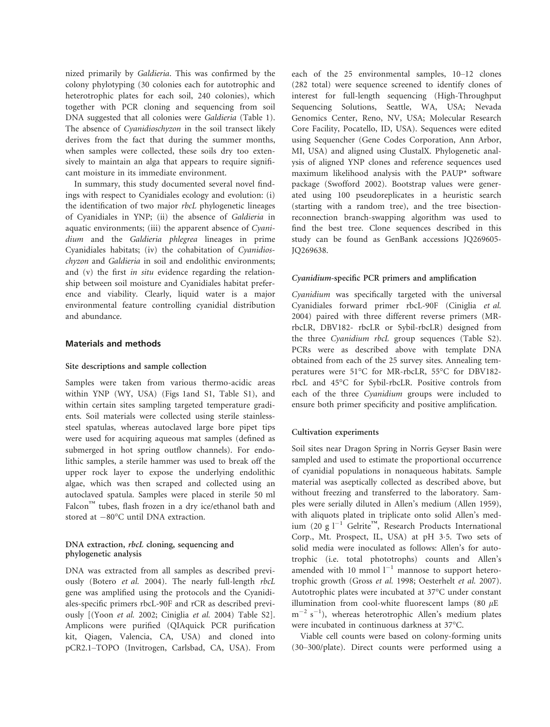nized primarily by Galdieria. This was confirmed by the colony phylotyping (30 colonies each for autotrophic and heterotrophic plates for each soil, 240 colonies), which together with PCR cloning and sequencing from soil DNA suggested that all colonies were Galdieria (Table 1). The absence of Cyanidioschyzon in the soil transect likely derives from the fact that during the summer months, when samples were collected, these soils dry too extensively to maintain an alga that appears to require significant moisture in its immediate environment.

In summary, this study documented several novel findings with respect to Cyanidiales ecology and evolution: (i) the identification of two major rbcL phylogenetic lineages of Cyanidiales in YNP; (ii) the absence of Galdieria in aquatic environments; (iii) the apparent absence of Cyanidium and the Galdieria phlegrea lineages in prime Cyanidiales habitats; (iv) the cohabitation of Cyanidioschyzon and Galdieria in soil and endolithic environments; and (v) the first in situ evidence regarding the relationship between soil moisture and Cyanidiales habitat preference and viability. Clearly, liquid water is a major environmental feature controlling cyanidial distribution and abundance.

#### Materials and methods

#### Site descriptions and sample collection

Samples were taken from various thermo-acidic areas within YNP (WY, USA) (Figs 1and S1, Table S1), and within certain sites sampling targeted temperature gradients. Soil materials were collected using sterile stainlesssteel spatulas, whereas autoclaved large bore pipet tips were used for acquiring aqueous mat samples (defined as submerged in hot spring outflow channels). For endolithic samples, a sterile hammer was used to break off the upper rock layer to expose the underlying endolithic algae, which was then scraped and collected using an autoclaved spatula. Samples were placed in sterile 50 ml Falcon™ tubes, flash frozen in a dry ice/ethanol bath and stored at  $-80^{\circ}$ C until DNA extraction.

#### DNA extraction, *rbcL* cloning, sequencing and phylogenetic analysis

DNA was extracted from all samples as described previously (Botero et al. 2004). The nearly full-length rbcL gene was amplified using the protocols and the Cyanidiales-specific primers rbcL-90F and rCR as described previously [(Yoon et al. 2002; Ciniglia et al. 2004) Table S2]. Amplicons were purified (QIAquick PCR purification kit, Qiagen, Valencia, CA, USA) and cloned into pCR2.1–TOPO (Invitrogen, Carlsbad, CA, USA). From each of the 25 environmental samples, 10–12 clones (282 total) were sequence screened to identify clones of interest for full-length sequencing (High-Throughput Sequencing Solutions, Seattle, WA, USA; Nevada Genomics Center, Reno, NV, USA; Molecular Research Core Facility, Pocatello, ID, USA). Sequences were edited using Sequencher (Gene Codes Corporation, Ann Arbor, MI, USA) and aligned using ClustalX. Phylogenetic analysis of aligned YNP clones and reference sequences used maximum likelihood analysis with the PAUP\* software package (Swofford 2002). Bootstrap values were generated using 100 pseudoreplicates in a heuristic search (starting with a random tree), and the tree bisectionreconnection branch-swapping algorithm was used to find the best tree. Clone sequences described in this study can be found as GenBank accessions JQ269605- JQ269638.

#### Cyanidium-specific PCR primers and amplification

Cyanidium was specifically targeted with the universal Cyanidiales forward primer rbcL-90F (Ciniglia et al. 2004) paired with three different reverse primers (MRrbcLR, DBV182- rbcLR or Sybil-rbcLR) designed from the three Cyanidium rbcL group sequences (Table S2). PCRs were as described above with template DNA obtained from each of the 25 survey sites. Annealing temperatures were 51°C for MR-rbcLR, 55°C for DBV182 rbcL and 45°C for Sybil-rbcLR. Positive controls from each of the three Cyanidium groups were included to ensure both primer specificity and positive amplification.

#### Cultivation experiments

Soil sites near Dragon Spring in Norris Geyser Basin were sampled and used to estimate the proportional occurrence of cyanidial populations in nonaqueous habitats. Sample material was aseptically collected as described above, but without freezing and transferred to the laboratory. Samples were serially diluted in Allen's medium (Allen 1959), with aliquots plated in triplicate onto solid Allen's medium (20 g l<sup>-1</sup> Gelrite<sup>™</sup>, Research Products International Corp., Mt. Prospect, IL, USA) at pH 3.5. Two sets of solid media were inoculated as follows: Allen's for autotrophic (i.e. total phototrophs) counts and Allen's amended with 10 mmol  $l^{-1}$  mannose to support heterotrophic growth (Gross et al. 1998; Oesterhelt et al. 2007). Autotrophic plates were incubated at 37°C under constant illumination from cool-white fluorescent lamps (80  $\mu$ E  $m^{-2}$  s<sup>-1</sup>), whereas heterotrophic Allen's medium plates were incubated in continuous darkness at 37°C.

Viable cell counts were based on colony-forming units (30–300/plate). Direct counts were performed using a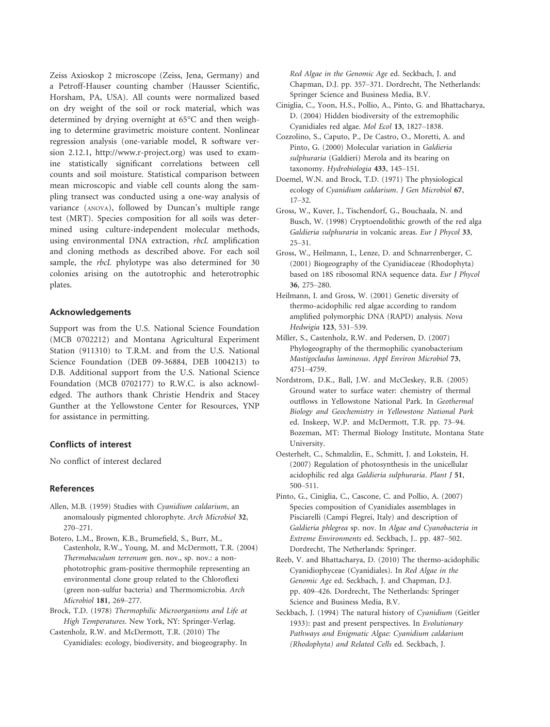Zeiss Axioskop 2 microscope (Zeiss, Jena, Germany) and a Petroff-Hauser counting chamber (Hausser Scientific, Horsham, PA, USA). All counts were normalized based on dry weight of the soil or rock material, which was determined by drying overnight at 65°C and then weighing to determine gravimetric moisture content. Nonlinear regression analysis (one-variable model, R software version 2.12.1, http://www.r-project.org) was used to examine statistically significant correlations between cell counts and soil moisture. Statistical comparison between mean microscopic and viable cell counts along the sampling transect was conducted using a one-way analysis of variance (ANOVA), followed by Duncan's multiple range test (MRT). Species composition for all soils was determined using culture-independent molecular methods, using environmental DNA extraction, rbcL amplification and cloning methods as described above. For each soil sample, the *rbcL* phylotype was also determined for 30 colonies arising on the autotrophic and heterotrophic plates.

#### Acknowledgements

Support was from the U.S. National Science Foundation (MCB 0702212) and Montana Agricultural Experiment Station (911310) to T.R.M. and from the U.S. National Science Foundation (DEB 09-36884, DEB 1004213) to D.B. Additional support from the U.S. National Science Foundation (MCB 0702177) to R.W.C. is also acknowledged. The authors thank Christie Hendrix and Stacey Gunther at the Yellowstone Center for Resources, YNP for assistance in permitting.

#### Conflicts of interest

No conflict of interest declared

#### References

- Allen, M.B. (1959) Studies with Cyanidium caldarium, an anomalously pigmented chlorophyte. Arch Microbiol 32, 270–271.
- Castenholz, R.W., Young, M. and McDermott, T.R. (2004) Thermobaculum terrenum gen. nov., sp. nov.: a nonphototrophic gram-positive thermophile representing an environmental clone group related to the Chloroflexi (green non-sulfur bacteria) and Thermomicrobia. Arch Microbiol 181, 269–277. Botero, L.M., Brown, K.B., Brumefield, S., Burr, M.,

Brock, T.D. (1978) Thermophilic Microorganisms and Life at High Temperatures. New York, NY: Springer-Verlag.

Castenholz, R.W. and McDermott, T.R. (2010) The Cyanidiales: ecology, biodiversity, and biogeography. In Red Algae in the Genomic Age ed. Seckbach, J. and Chapman, D.J. pp. 357–371. Dordrecht, The Netherlands: Springer Science and Business Media, B.V.

- Ciniglia, C., Yoon, H.S., Pollio, A., Pinto, G. and Bhattacharya, D. (2004) Hidden biodiversity of the extremophilic Cyanidiales red algae. Mol Ecol 13, 1827–1838.
- Cozzolino, S., Caputo, P., De Castro, O., Moretti, A. and Pinto, G. (2000) Molecular variation in Galdieria sulphuraria (Galdieri) Merola and its bearing on taxonomy. Hydrobiologia 433, 145–151.
- Doemel, W.N. and Brock, T.D. (1971) The physiological ecology of Cyanidium caldarium. J Gen Microbiol 67, 17–32.
- Gross, W., Kuver, J., Tischendorf, G., Bouchaala, N. and Busch, W. (1998) Cryptoendolithic growth of the red alga Galdieria sulphuraria in volcanic areas. Eur J Phycol 33, 25–31.
- Gross, W., Heilmann, I., Lenze, D. and Schnarrenberger, C. (2001) Biogeography of the Cyanidiaceae (Rhodophyta) based on 18S ribosomal RNA sequence data. Eur J Phycol 36, 275–280.
- Heilmann, I. and Gross, W. (2001) Genetic diversity of thermo-acidophilic red algae according to random amplified polymorphic DNA (RAPD) analysis. Nova Hedwigia 123, 531–539.
- Miller, S., Castenholz, R.W. and Pedersen, D. (2007) Phylogeography of the thermophilic cyanobacterium Mastigocladus laminosus. Appl Environ Microbiol 73, 4751–4759.
- Nordstrom, D.K., Ball, J.W. and McCleskey, R.B. (2005) Ground water to surface water: chemistry of thermal outflows in Yellowstone National Park. In Geothermal Biology and Geochemistry in Yellowstone National Park ed. Inskeep, W.P. and McDermott, T.R. pp. 73–94. Bozeman, MT: Thermal Biology Institute, Montana State University.
- Oesterhelt, C., Schmalzlin, E., Schmitt, J. and Lokstein, H. (2007) Regulation of photosynthesis in the unicellular acidophilic red alga Galdieria sulphuraria. Plant J 51, 500–511.
- Pinto, G., Ciniglia, C., Cascone, C. and Pollio, A. (2007) Species composition of Cyanidiales assemblages in Pisciarelli (Campi Flegrei, Italy) and description of Galdieria phlegrea sp. nov. In Algae and Cyanobacteria in Extreme Environments ed. Seckbach, J.. pp. 487–502. Dordrecht, The Netherlands: Springer.
- Reeb, V. and Bhattacharya, D. (2010) The thermo-acidophilic Cyanidiophyceae (Cyanidiales). In Red Algae in the Genomic Age ed. Seckbach, J. and Chapman, D.J. pp. 409–426. Dordrecht, The Netherlands: Springer Science and Business Media, B.V.
- Seckbach, J. (1994) The natural history of Cyanidium (Geitler 1933): past and present perspectives. In Evolutionary Pathways and Enigmatic Algae: Cyanidium caldarium (Rhodophyta) and Related Cells ed. Seckbach, J.